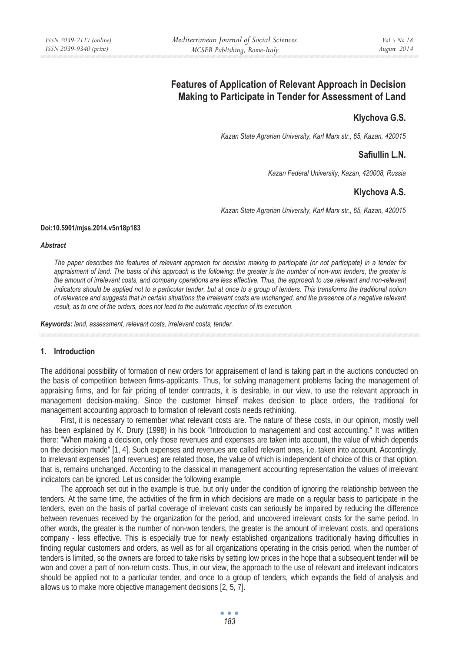# **Features of Application of Relevant Approach in Decision Making to Participate in Tender for Assessment of Land**

## **Klychova G.S.**

*Kazan State Agrarian University, Karl Marx str., 65, Kazan, 420015* 

### **Safiullin L.N.**

*Kazan Federal University, Kazan, 420008, Russia* 

### **Klychova Ȼ.S.**

*Kazan State Agrarian University, Karl Marx str., 65, Kazan, 420015* 

#### **Doi:10.5901/mjss.2014.v5n18p183**

#### *Abstract*

*The paper describes the features of relevant approach for decision making to participate (or not participate) in a tender for appraisment of land. The basis of this approach is the following: the greater is the number of non-won tenders, the greater is the amount of irrelevant costs, and company operations are less effective. Thus, the approach to use relevant and non-relevant indicators should be applied not to a particular tender, but at once to a group of tenders. This transforms the traditional notion of relevance and suggests that in certain situations the irrelevant costs are unchanged, and the presence of a negative relevant result, as to one of the orders, does not lead to the automatic rejection of its execution.* 

*Keywords: land, assessment, relevant costs, irrelevant costs, tender.*

#### **1. Introduction**

The additional possibility of formation of new orders for appraisement of land is taking part in the auctions conducted on the basis of competition between firms-applicants. Thus, for solving management problems facing the management of appraising firms, and for fair pricing of tender contracts, it is desirable, in our view, to use the relevant approach in management decision-making. Since the customer himself makes decision to place orders, the traditional for management accounting approach to formation of relevant costs needs rethinking.

First, it is necessary to remember what relevant costs are. The nature of these costs, in our opinion, mostly well has been explained by K. Drury (1998) in his book "Introduction to management and cost accounting." It was written there: "When making a decision, only those revenues and expenses are taken into account, the value of which depends on the decision made" [1, 4]. Such expenses and revenues are called relevant ones, i.e. taken into account. Accordingly, to irrelevant expenses (and revenues) are related those, the value of which is independent of choice of this or that option, that is, remains unchanged. According to the classical in management accounting representation the values of irrelevant indicators can be ignored. Let us consider the following example.

The approach set out in the example is true, but only under the condition of ignoring the relationship between the tenders. At the same time, the activities of the firm in which decisions are made on a regular basis to participate in the tenders, even on the basis of partial coverage of irrelevant costs can seriously be impaired by reducing the difference between revenues received by the organization for the period, and uncovered irrelevant costs for the same period. In other words, the greater is the number of non-won tenders, the greater is the amount of irrelevant costs, and operations company - less effective. This is especially true for newly established organizations traditionally having difficulties in finding regular customers and orders, as well as for all organizations operating in the crisis period, when the number of tenders is limited, so the owners are forced to take risks by setting low prices in the hope that a subsequent tender will be won and cover a part of non-return costs. Thus, in our view, the approach to the use of relevant and irrelevant indicators should be applied not to a particular tender, and once to a group of tenders, which expands the field of analysis and allows us to make more objective management decisions [2, 5, 7].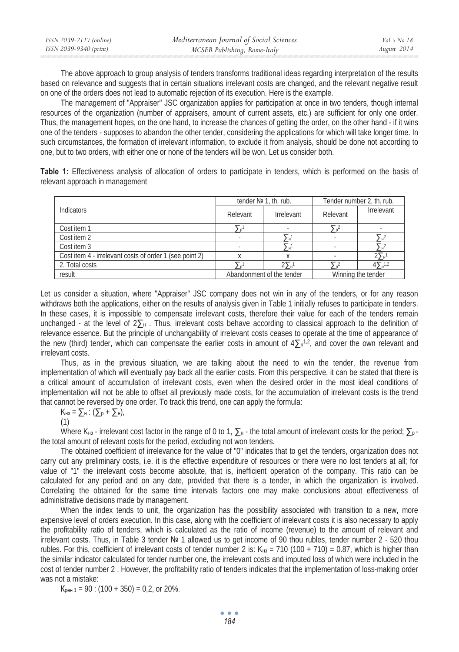| ISSN 2039-2117 (online) | Mediterranean Journal of Social Sciences | <i>Vol</i> 5 No 18 |
|-------------------------|------------------------------------------|--------------------|
| ISSN 2039-9340 (print)  | MCSER Publishing, Rome-Italy             | August 2014        |

The above approach to group analysis of tenders transforms traditional ideas regarding interpretation of the results based on relevance and suggests that in certain situations irrelevant costs are changed, and the relevant negative result on one of the orders does not lead to automatic rejection of its execution. Here is the example.

The management of "Appraiser" JSC organization applies for participation at once in two tenders, though internal resources of the organization (number of appraisers, amount of current assets, etc.) are sufficient for only one order. Thus, the management hopes, on the one hand, to increase the chances of getting the order, on the other hand - if it wins one of the tenders - supposes to abandon the other tender, considering the applications for which will take longer time. In such circumstances, the formation of irrelevant information, to exclude it from analysis, should be done not according to one, but to two orders, with either one or none of the tenders will be won. Let us consider both.

**Table 1:** Effectiveness analysis of allocation of orders to participate in tenders, which is performed on the basis of relevant approach in management

|                                                         | tender $N2$ 1, th. rub. |                           | Tender number 2, th. rub. |                    |
|---------------------------------------------------------|-------------------------|---------------------------|---------------------------|--------------------|
| Indicators                                              | Relevant                | Irrelevant                | Relevant                  | Irrelevant         |
| Cost item 1                                             |                         |                           |                           |                    |
| Cost item 2                                             |                         |                           |                           |                    |
| Cost item 3                                             |                         |                           |                           |                    |
| Cost item 4 - irrelevant costs of order 1 (see point 2) |                         |                           |                           |                    |
| 2. Total costs                                          |                         | $2\Sigma_{\rm H}$         |                           | $4\sum_{H} 1.2$    |
| result                                                  |                         | Abandonment of the tender |                           | Winning the tender |

Let us consider a situation, where "Appraiser" JSC company does not win in any of the tenders, or for any reason withdraws both the applications, either on the results of analysis given in Table 1 initially refuses to participate in tenders. In these cases, it is impossible to compensate irrelevant costs, therefore their value for each of the tenders remain unchanged - at the level of  $2\sum_{n=1}^{\infty}$ . Thus, irrelevant costs behave according to classical approach to the definition of relevance essence. But the principle of unchangability of irrelevant costs ceases to operate at the time of appearance of the new (third) tender, which can compensate the earlier costs in amount of  $4\sum_{n=1}^{12}$ , and cover the own relevant and irrelevant costs.

Thus, as in the previous situation, we are talking about the need to win the tender, the revenue from implementation of which will eventually pay back all the earlier costs. From this perspective, it can be stated that there is a critical amount of accumulation of irrelevant costs, even when the desired order in the most ideal conditions of implementation will not be able to offset all previously made costs, for the accumulation of irrelevant costs is the trend that cannot be reversed by one order. To track this trend, one can apply the formula:

$$
K_{H3} = \sum_{H} \cdot (\sum_{p} + \sum_{H})
$$

(1)

Where K $_{H3}$  - irrelevant cost factor in the range of 0 to 1,  $\sum_{H}$  - the total amount of irrelevant costs for the period;  $\sum_{H}$ the total amount of relevant costs for the period, excluding not won tenders.

The obtained coefficient of irrelevance for the value of "0" indicates that to get the tenders, organization does not carry out any preliminary costs, i.e. it is the effective expenditure of resources or there were no lost tenders at all; for value of "1" the irrelevant costs become absolute, that is, inefficient operation of the company. This ratio can be calculated for any period and on any date, provided that there is a tender, in which the organization is involved. Correlating the obtained for the same time intervals factors one may make conclusions about effectiveness of administrative decisions made by management.

When the index tends to unit, the organization has the possibility associated with transition to a new, more expensive level of orders execution. In this case, along with the coefficient of irrelevant costs it is also necessary to apply the profitability ratio of tenders, which is calculated as the ratio of income (revenue) to the amount of relevant and irrelevant costs. Thus, in Table 3 tender № 1 allowed us to get income of 90 thou rubles, tender number 2 - 520 thou rubles. For this, coefficient of irrelevant costs of tender number 2 is: K $_{H3}$  = 710 (100 + 710) = 0.87, which is higher than the similar indicator calculated for tender number one, the irrelevant costs and imputed loss of which were included in the cost of tender number 2 . However, the profitability ratio of tenders indicates that the implementation of loss-making order was not a mistake:

 $K_{\text{per 1}} = 90$ : (100 + 350) = 0,2, or 20%.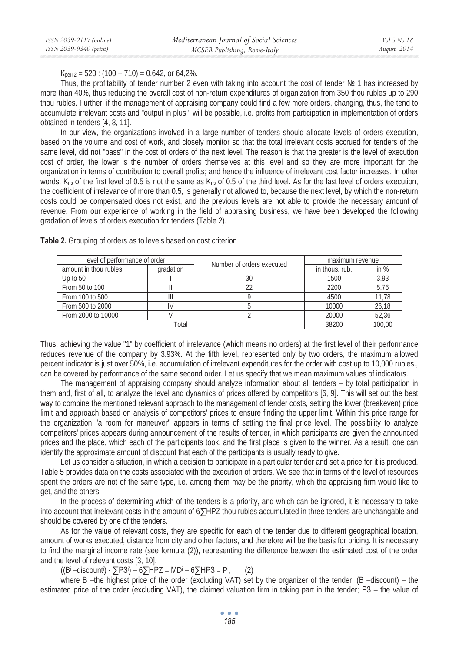$K_{\text{neu }2} = 520$  : (100 + 710) = 0.642, or 64.2%.

Thus, the profitability of tender number 2 even with taking into account the cost of tender  $\mathbb{N}^2$  1 has increased by more than 40%, thus reducing the overall cost of non-return expenditures of organization from 350 thou rubles up to 290 thou rubles. Further, if the management of appraising company could find a few more orders, changing, thus, the tend to accumulate irrelevant costs and "output in plus " will be possible, i.e. profits from participation in implementation of orders obtained in tenders [4, 8, 11].

In our view, the organizations involved in a large number of tenders should allocate levels of orders execution, based on the volume and cost of work, and closely monitor so that the total irrelevant costs accrued for tenders of the same level, did not "pass" in the cost of orders of the next level. The reason is that the greater is the level of execution cost of order, the lower is the number of orders themselves at this level and so they are more important for the organization in terms of contribution to overall profits; and hence the influence of irrelevant cost factor increases. In other words, K<sub>Ha</sub> of the first level of 0.5 is not the same as K<sub>Ha</sub> of 0.5 of the third level. As for the last level of orders execution, the coefficient of irrelevance of more than 0.5, is generally not allowed to, because the next level, by which the non-return costs could be compensated does not exist, and the previous levels are not able to provide the necessary amount of revenue. From our experience of working in the field of appraising business, we have been developed the following gradation of levels of orders execution for tenders (Table 2).

| level of performance of order |           | Number of orders executed | maximum revenue |        |
|-------------------------------|-----------|---------------------------|-----------------|--------|
| amount in thou rubles         | gradation |                           | in thous, rub.  | in $%$ |
| Up to 50                      |           | 30                        | 1500            | 3,93   |
| From 50 to 100                |           |                           | 2200            | 5,76   |
| From 100 to 500               |           |                           | 4500            | 11.78  |
| From 500 to 2000              |           |                           | 10000           | 26.18  |
| From 2000 to 10000            |           |                           | 20000           | 52,36  |
|                               | Total     |                           | 38200           | 100.00 |

**Table 2.** Grouping of orders as to levels based on cost criterion

Thus, achieving the value "1" by coefficient of irrelevance (which means no orders) at the first level of their performance reduces revenue of the company by 3.93%. At the fifth level, represented only by two orders, the maximum allowed percent indicator is just over 50%, i.e. accumulation of irrelevant expenditures for the order with cost up to 10,000 rubles., can be covered by performance of the same second order. Let us specify that we mean maximum values of indicators.

The management of appraising company should analyze information about all tenders – by total participation in them and, first of all, to analyze the level and dynamics of prices offered by competitors [6, 9]. This will set out the best way to combine the mentioned relevant approach to the management of tender costs, setting the lower (breakeven) price limit and approach based on analysis of competitors' prices to ensure finding the upper limit. Within this price range for the organization "a room for maneuver" appears in terms of setting the final price level. The possibility to analyze competitors' prices appears during announcement of the results of tender, in which participants are given the announced prices and the place, which each of the participants took, and the first place is given to the winner. As a result, one can identify the approximate amount of discount that each of the participants is usually ready to give.

Let us consider a situation, in which a decision to participate in a particular tender and set a price for it is produced. Table 5 provides data on the costs associated with the execution of orders. We see that in terms of the level of resources spent the orders are not of the same type, i.e. among them may be the priority, which the appraising firm would like to get, and the others.

In the process of determining which of the tenders is a priority, and which can be ignored, it is necessary to take into account that irrelevant costs in the amount of  $6\Sigma$ HPZ thou rubles accumulated in three tenders are unchangable and should be covered by one of the tenders.

As for the value of relevant costs, they are specific for each of the tender due to different geographical location, amount of works executed, distance from city and other factors, and therefore will be the basis for pricing. It is necessary to find the marginal income rate (see formula (2)), representing the difference between the estimated cost of the order and the level of relevant costs [3, 10].

((B<sup>i</sup> –discount<sup>i</sup>) - ∑P3<sup>i</sup>) – 6∑HPZ = MD<sup>i</sup> – 6∑HP3 = P<sup>i</sup>  $(2)$ 

where  $B$  –the highest price of the order (excluding VAT) set by the organizer of the tender; ( $B$  –discount) – the estimated price of the order (excluding VAT), the claimed valuation firm in taking part in the tender; P3 – the value of